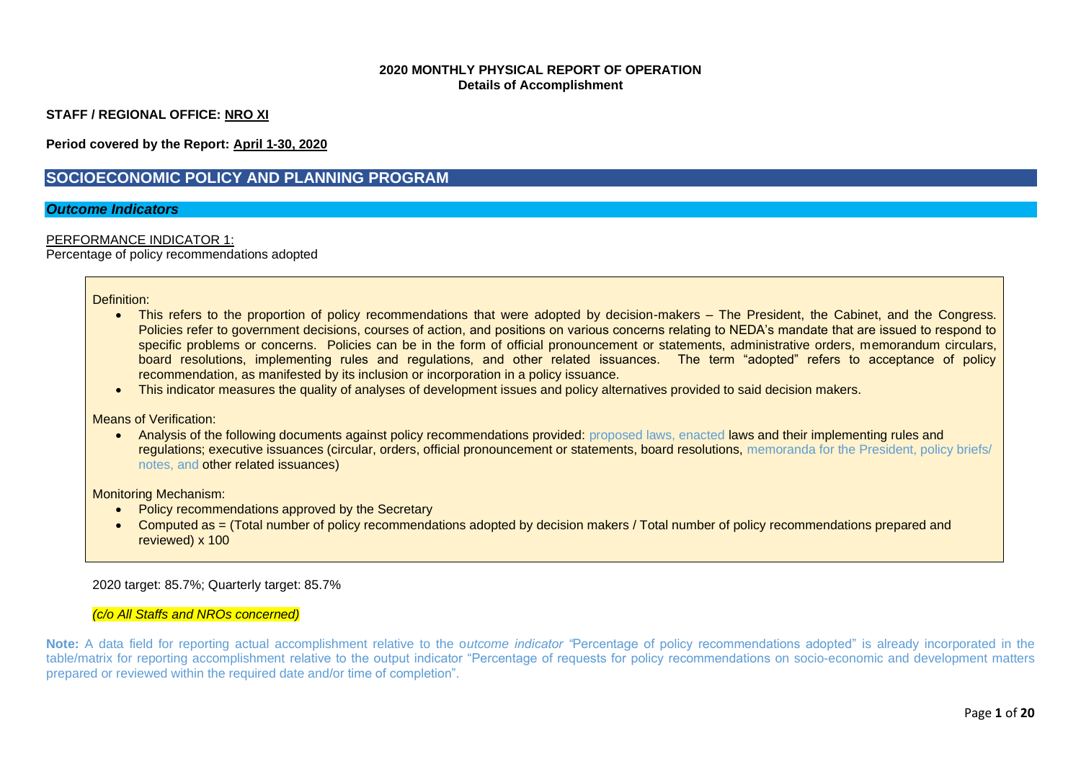### **2020 MONTHLY PHYSICAL REPORT OF OPERATION Details of Accomplishment**

**STAFF / REGIONAL OFFICE: NRO XI**

**Period covered by the Report: April 1-30, 2020**

# **SOCIOECONOMIC POLICY AND PLANNING PROGRAM**

### *Outcome Indicators*

### PERFORMANCE INDICATOR 1:

Percentage of policy recommendations adopted

#### Definition:

- This refers to the proportion of policy recommendations that were adopted by decision-makers The President, the Cabinet, and the Congress. Policies refer to government decisions, courses of action, and positions on various concerns relating to NEDA's mandate that are issued to respond to specific problems or concerns. Policies can be in the form of official pronouncement or statements, administrative orders, memorandum circulars, board resolutions, implementing rules and regulations, and other related issuances. The term "adopted" refers to acceptance of policy recommendation, as manifested by its inclusion or incorporation in a policy issuance.
- This indicator measures the quality of analyses of development issues and policy alternatives provided to said decision makers.

#### Means of Verification:

• Analysis of the following documents against policy recommendations provided: proposed laws, enacted laws and their implementing rules and regulations; executive issuances (circular, orders, official pronouncement or statements, board resolutions, memoranda for the President, policy briefs/ notes, and other related issuances)

#### Monitoring Mechanism:

- Policy recommendations approved by the Secretary
- Computed as = (Total number of policy recommendations adopted by decision makers / Total number of policy recommendations prepared and reviewed) x 100

### 2020 target: 85.7%; Quarterly target: 85.7%

#### *(c/o All Staffs and NROs concerned)*

**Note:** A data field for reporting actual accomplishment relative to the o*utcome indicator "*Percentage of policy recommendations adopted" is already incorporated in the table/matrix for reporting accomplishment relative to the output indicator "Percentage of requests for policy recommendations on socio-economic and development matters prepared or reviewed within the required date and/or time of completion".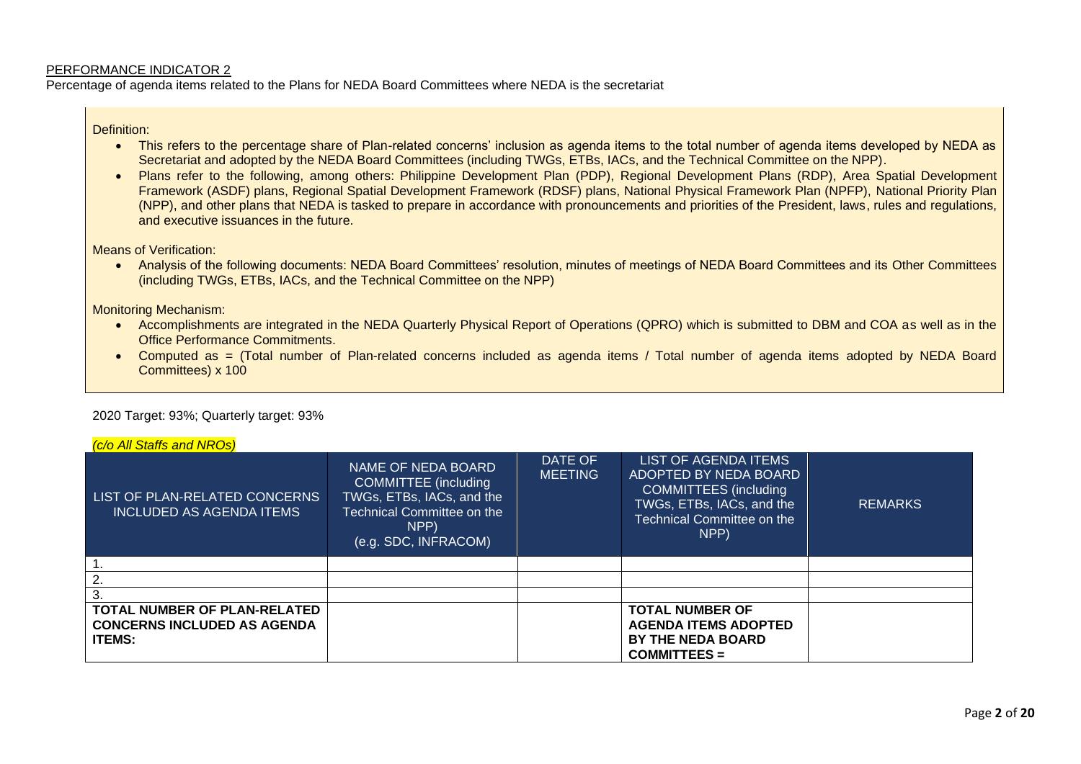Percentage of agenda items related to the Plans for NEDA Board Committees where NEDA is the secretariat

Definition:

- This refers to the percentage share of Plan-related concerns' inclusion as agenda items to the total number of agenda items developed by NEDA as Secretariat and adopted by the NEDA Board Committees (including TWGs, ETBs, IACs, and the Technical Committee on the NPP).
- Plans refer to the following, among others: Philippine Development Plan (PDP), Regional Development Plans (RDP), Area Spatial Development Framework (ASDF) plans, Regional Spatial Development Framework (RDSF) plans, National Physical Framework Plan (NPFP), National Priority Plan (NPP), and other plans that NEDA is tasked to prepare in accordance with pronouncements and priorities of the President, laws, rules and regulations, and executive issuances in the future.

Means of Verification:

• Analysis of the following documents: NEDA Board Committees' resolution, minutes of meetings of NEDA Board Committees and its Other Committees (including TWGs, ETBs, IACs, and the Technical Committee on the NPP)

Monitoring Mechanism:

*(c/o All Staffs and NROs)*

- Accomplishments are integrated in the NEDA Quarterly Physical Report of Operations (QPRO) which is submitted to DBM and COA as well as in the Office Performance Commitments.
- Computed as = (Total number of Plan-related concerns included as agenda items / Total number of agenda items adopted by NEDA Board Committees) x 100

2020 Target: 93%; Quarterly target: 93%

| <i>(C/O All Statts and NROS)</i>                                 |                                                                                                                                              |                           |                                                                                                                                                         |                |
|------------------------------------------------------------------|----------------------------------------------------------------------------------------------------------------------------------------------|---------------------------|---------------------------------------------------------------------------------------------------------------------------------------------------------|----------------|
| LIST OF PLAN-RELATED CONCERNS<br><b>INCLUDED AS AGENDA ITEMS</b> | NAME OF NEDA BOARD<br>COMMITTEE (including<br>TWGs, ETBs, IACs, and the<br><b>Technical Committee on the</b><br>NPP)<br>(e.g. SDC, INFRACOM) | DATE OF<br><b>MEETING</b> | LIST OF AGENDA ITEMS<br>ADOPTED BY NEDA BOARD<br><b>COMMITTEES</b> (including<br>TWGs, ETBs, IACs, and the<br><b>Technical Committee on the</b><br>NPP) | <b>REMARKS</b> |
|                                                                  |                                                                                                                                              |                           |                                                                                                                                                         |                |
|                                                                  |                                                                                                                                              |                           |                                                                                                                                                         |                |
|                                                                  |                                                                                                                                              |                           |                                                                                                                                                         |                |
| <b>TOTAL NUMBER OF PLAN-RELATED</b>                              |                                                                                                                                              |                           | <b>TOTAL NUMBER OF</b>                                                                                                                                  |                |
| <b>CONCERNS INCLUDED AS AGENDA</b>                               |                                                                                                                                              |                           | <b>AGENDA ITEMS ADOPTED</b>                                                                                                                             |                |
| <b>ITEMS:</b>                                                    |                                                                                                                                              |                           | <b>BY THE NEDA BOARD</b>                                                                                                                                |                |
|                                                                  |                                                                                                                                              |                           | <b>COMMITTEES =</b>                                                                                                                                     |                |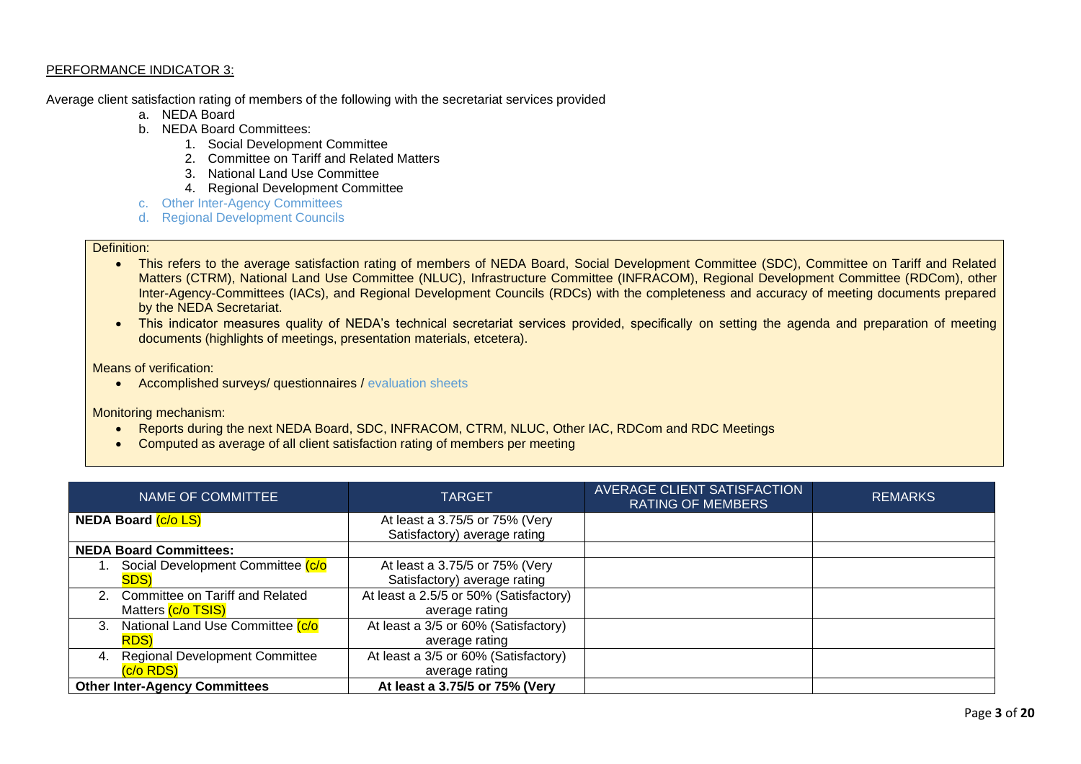Average client satisfaction rating of members of the following with the secretariat services provided

- a. NEDA Board
- b. NEDA Board Committees:
	- 1. Social Development Committee
	- 2. Committee on Tariff and Related Matters
	- 3. National Land Use Committee
	- 4. Regional Development Committee
- c. Other Inter-Agency Committees
- d. Regional Development Councils

### Definition:

- This refers to the average satisfaction rating of members of NEDA Board, Social Development Committee (SDC), Committee on Tariff and Related Matters (CTRM), National Land Use Committee (NLUC), Infrastructure Committee (INFRACOM), Regional Development Committee (RDCom), other Inter-Agency-Committees (IACs), and Regional Development Councils (RDCs) with the completeness and accuracy of meeting documents prepared by the NEDA Secretariat.
- This indicator measures quality of NEDA's technical secretariat services provided, specifically on setting the agenda and preparation of meeting documents (highlights of meetings, presentation materials, etcetera).

Means of verification:

• Accomplished surveys/ questionnaires / evaluation sheets

Monitoring mechanism:

- Reports during the next NEDA Board, SDC, INFRACOM, CTRM, NLUC, Other IAC, RDCom and RDC Meetings
- Computed as average of all client satisfaction rating of members per meeting

| NAME OF COMMITTEE          |                                       | <b>TARGET</b>                                                  | <b>AVERAGE CLIENT SATISFACTION</b><br><b>RATING OF MEMBERS</b> | <b>REMARKS</b> |
|----------------------------|---------------------------------------|----------------------------------------------------------------|----------------------------------------------------------------|----------------|
| <b>NEDA Board (c/o LS)</b> |                                       | At least a 3.75/5 or 75% (Very<br>Satisfactory) average rating |                                                                |                |
|                            | <b>NEDA Board Committees:</b>         |                                                                |                                                                |                |
|                            | Social Development Committee (c/o     | At least a 3.75/5 or 75% (Very                                 |                                                                |                |
|                            | SDS)                                  | Satisfactory) average rating                                   |                                                                |                |
|                            | 2. Committee on Tariff and Related    | At least a 2.5/5 or 50% (Satisfactory)                         |                                                                |                |
|                            | Matters (c/o TSIS)                    | average rating                                                 |                                                                |                |
| $3_{-}$                    | National Land Use Committee (c/o      | At least a 3/5 or 60% (Satisfactory)                           |                                                                |                |
|                            | <b>RDS</b> )                          | average rating                                                 |                                                                |                |
| 4.                         | <b>Regional Development Committee</b> | At least a 3/5 or 60% (Satisfactory)                           |                                                                |                |
|                            | (c/o RDS)                             | average rating                                                 |                                                                |                |
|                            | <b>Other Inter-Agency Committees</b>  | At least a 3.75/5 or 75% (Very                                 |                                                                |                |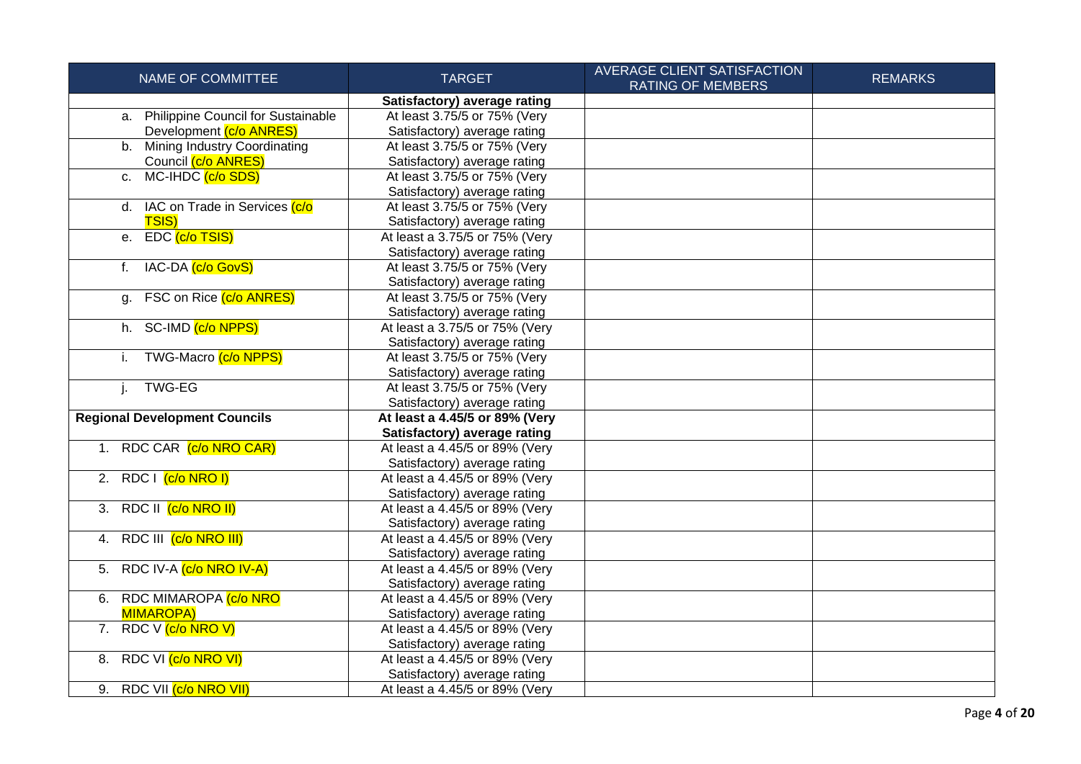| NAME OF COMMITTEE                     | <b>TARGET</b>                  | <b>AVERAGE CLIENT SATISFACTION</b><br><b>RATING OF MEMBERS</b> | <b>REMARKS</b> |
|---------------------------------------|--------------------------------|----------------------------------------------------------------|----------------|
|                                       | Satisfactory) average rating   |                                                                |                |
| a. Philippine Council for Sustainable | At least 3.75/5 or 75% (Very   |                                                                |                |
| Development (c/o ANRES)               | Satisfactory) average rating   |                                                                |                |
| b. Mining Industry Coordinating       | At least 3.75/5 or 75% (Very   |                                                                |                |
| Council (c/o ANRES)                   | Satisfactory) average rating   |                                                                |                |
| c. MC-IHDC (c/o SDS)                  | At least 3.75/5 or 75% (Very   |                                                                |                |
|                                       | Satisfactory) average rating   |                                                                |                |
| d. IAC on Trade in Services (c/o      | At least 3.75/5 or 75% (Very   |                                                                |                |
| <b>TSIS)</b>                          | Satisfactory) average rating   |                                                                |                |
| e. EDC (c/o TSIS)                     | At least a 3.75/5 or 75% (Very |                                                                |                |
|                                       | Satisfactory) average rating   |                                                                |                |
| IAC-DA (c/o GovS)<br>f.               | At least 3.75/5 or 75% (Very   |                                                                |                |
|                                       | Satisfactory) average rating   |                                                                |                |
| g. FSC on Rice (c/o ANRES)            | At least 3.75/5 or 75% (Very   |                                                                |                |
|                                       | Satisfactory) average rating   |                                                                |                |
| h. SC-IMD (c/o NPPS)                  | At least a 3.75/5 or 75% (Very |                                                                |                |
|                                       | Satisfactory) average rating   |                                                                |                |
| TWG-Macro (c/o NPPS)<br>i.            | At least 3.75/5 or 75% (Very   |                                                                |                |
|                                       | Satisfactory) average rating   |                                                                |                |
| <b>TWG-EG</b><br>j.                   | At least 3.75/5 or 75% (Very   |                                                                |                |
|                                       | Satisfactory) average rating   |                                                                |                |
| <b>Regional Development Councils</b>  | At least a 4.45/5 or 89% (Very |                                                                |                |
|                                       | Satisfactory) average rating   |                                                                |                |
| 1. RDC CAR (c/o NRO CAR)              | At least a 4.45/5 or 89% (Very |                                                                |                |
|                                       | Satisfactory) average rating   |                                                                |                |
| 2. RDC $(c/o NRO I)$                  | At least a 4.45/5 or 89% (Very |                                                                |                |
|                                       | Satisfactory) average rating   |                                                                |                |
| 3. RDC II $(c/o \, NRO \, II)$        | At least a 4.45/5 or 89% (Very |                                                                |                |
|                                       | Satisfactory) average rating   |                                                                |                |
| 4. RDC III (c/o NRO III)              | At least a 4.45/5 or 89% (Very |                                                                |                |
|                                       | Satisfactory) average rating   |                                                                |                |
| 5. RDC IV-A (c/o NRO IV-A)            | At least a 4.45/5 or 89% (Very |                                                                |                |
|                                       | Satisfactory) average rating   |                                                                |                |
| 6. RDC MIMAROPA (c/o NRO              | At least a 4.45/5 or 89% (Very |                                                                |                |
| <b>MIMAROPA)</b>                      | Satisfactory) average rating   |                                                                |                |
| 7. RDC V (c/o NRO V)                  | At least a 4.45/5 or 89% (Very |                                                                |                |
|                                       | Satisfactory) average rating   |                                                                |                |
| 8. RDC VI (c/o NRO VI)                | At least a 4.45/5 or 89% (Very |                                                                |                |
|                                       | Satisfactory) average rating   |                                                                |                |
| 9. RDC VII (c/o NRO VII)              | At least a 4.45/5 or 89% (Very |                                                                |                |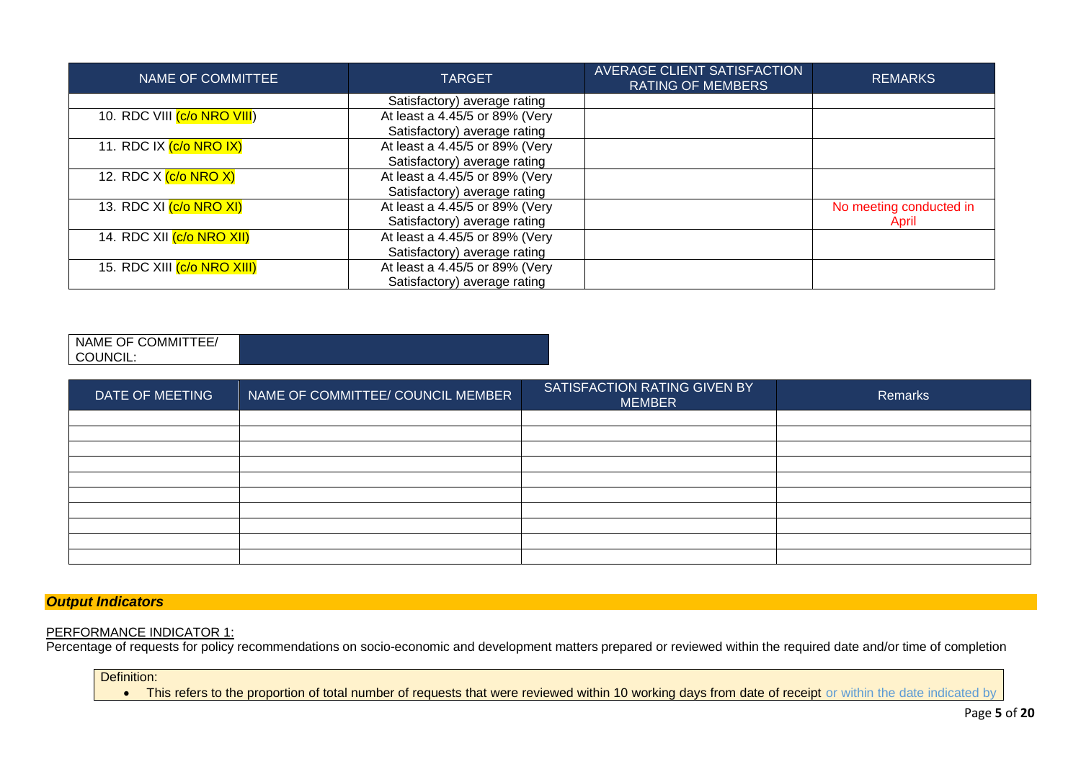| NAME OF COMMITTEE                         | <b>TARGET</b>                  | AVERAGE CLIENT SATISFACTION<br><b>RATING OF MEMBERS</b> | <b>REMARKS</b>          |
|-------------------------------------------|--------------------------------|---------------------------------------------------------|-------------------------|
|                                           | Satisfactory) average rating   |                                                         |                         |
| 10. RDC VIII <mark>(c/o NRO VIII</mark> ) | At least a 4.45/5 or 89% (Very |                                                         |                         |
|                                           | Satisfactory) average rating   |                                                         |                         |
| 11. RDC IX (c/o NRO IX)                   | At least a 4.45/5 or 89% (Very |                                                         |                         |
|                                           | Satisfactory) average rating   |                                                         |                         |
| 12. RDC X (c/o NRO X)                     | At least a 4.45/5 or 89% (Very |                                                         |                         |
|                                           | Satisfactory) average rating   |                                                         |                         |
| 13. RDC XI (c/o NRO XI)                   | At least a 4.45/5 or 89% (Very |                                                         | No meeting conducted in |
|                                           | Satisfactory) average rating   |                                                         | April                   |
| 14. RDC XII <mark>(c/o NRO XII)</mark>    | At least a 4.45/5 or 89% (Very |                                                         |                         |
|                                           | Satisfactory) average rating   |                                                         |                         |
| 15. RDC XIII (c/o NRO XIII)               | At least a 4.45/5 or 89% (Very |                                                         |                         |
|                                           | Satisfactory) average rating   |                                                         |                         |

NAME OF COMMITTEE/ COUNCIL:

| DATE OF MEETING | NAME OF COMMITTEE/ COUNCIL MEMBER | SATISFACTION RATING GIVEN BY<br><b>MEMBER</b> | Remarks |
|-----------------|-----------------------------------|-----------------------------------------------|---------|
|                 |                                   |                                               |         |
|                 |                                   |                                               |         |
|                 |                                   |                                               |         |
|                 |                                   |                                               |         |
|                 |                                   |                                               |         |
|                 |                                   |                                               |         |
|                 |                                   |                                               |         |
|                 |                                   |                                               |         |
|                 |                                   |                                               |         |
|                 |                                   |                                               |         |

*Output Indicators*

# PERFORMANCE INDICATOR 1:

Percentage of requests for policy recommendations on socio-economic and development matters prepared or reviewed within the required date and/or time of completion

Definition:

• This refers to the proportion of total number of requests that were reviewed within 10 working days from date of receipt or within the date indicated by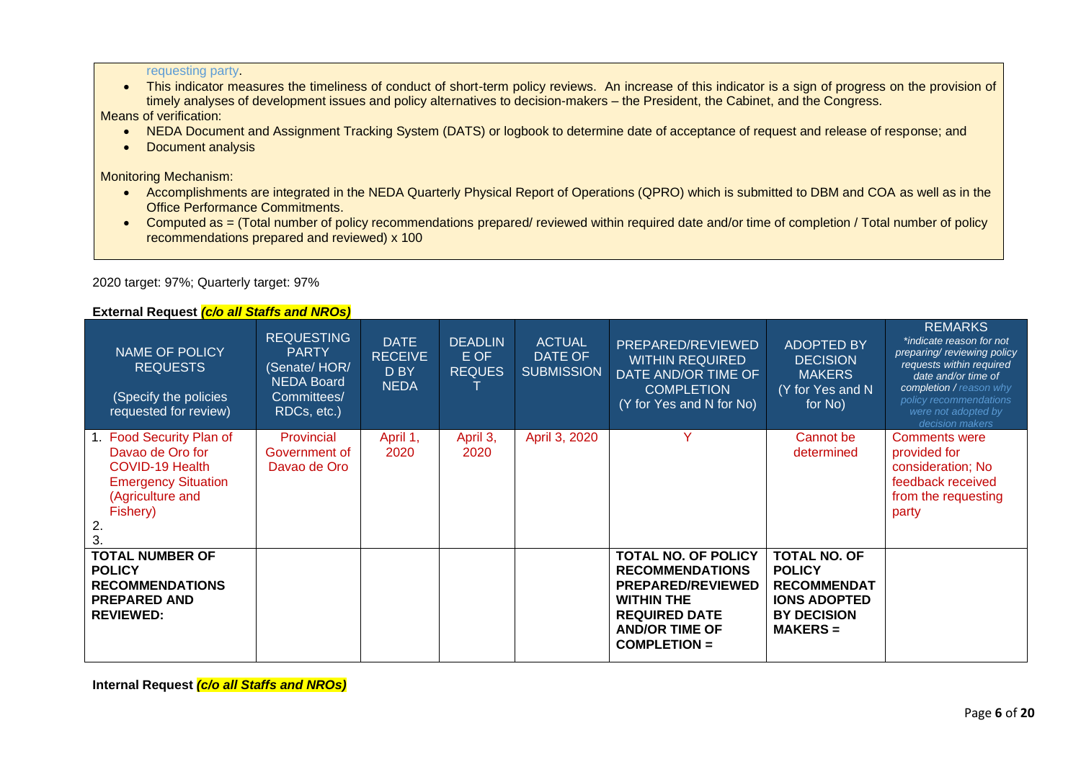requesting party.

• This indicator measures the timeliness of conduct of short-term policy reviews. An increase of this indicator is a sign of progress on the provision of timely analyses of development issues and policy alternatives to decision-makers – the President, the Cabinet, and the Congress.

Means of verification:

- NEDA Document and Assignment Tracking System (DATS) or logbook to determine date of acceptance of request and release of response; and
- Document analysis

Monitoring Mechanism:

- Accomplishments are integrated in the NEDA Quarterly Physical Report of Operations (QPRO) which is submitted to DBM and COA as well as in the Office Performance Commitments.
- Computed as = (Total number of policy recommendations prepared/ reviewed within required date and/or time of completion / Total number of policy recommendations prepared and reviewed) x 100

2020 target: 97%; Quarterly target: 97%

# **External Request** *(c/o all Staffs and NROs)*

| .<br>NAME OF POLICY<br><b>REQUESTS</b><br>(Specify the policies<br>requested for review)                                            | quoot <u>  0/0 uni otuno uniu rirtoo</u><br><b>REQUESTING</b><br><b>PARTY</b><br>(Senate/HOR/<br><b>NEDA Board</b><br>Committees/<br>RDCs, etc.) | <b>DATE</b><br><b>RECEIVE</b><br>D BY<br><b>NEDA</b> | <b>DEADLIN</b><br>E OF<br><b>REQUES</b> | <b>ACTUAL</b><br>DATE OF<br><b>SUBMISSION</b> | PREPARED/REVIEWED<br><b>WITHIN REQUIRED</b><br>DATE AND/OR TIME OF<br><b>COMPLETION</b><br>(Y for Yes and N for No)                                                      | <b>ADOPTED BY</b><br><b>DECISION</b><br><b>MAKERS</b><br>(Y for Yes and N<br>for No)                                  | <b>REMARKS</b><br>*indicate reason for not<br>preparing/reviewing policy<br>requests within required<br>date and/or time of<br>completion / reason why<br>policy recommendations<br>were not adopted by<br>decision makers |
|-------------------------------------------------------------------------------------------------------------------------------------|--------------------------------------------------------------------------------------------------------------------------------------------------|------------------------------------------------------|-----------------------------------------|-----------------------------------------------|--------------------------------------------------------------------------------------------------------------------------------------------------------------------------|-----------------------------------------------------------------------------------------------------------------------|----------------------------------------------------------------------------------------------------------------------------------------------------------------------------------------------------------------------------|
| 1. Food Security Plan of<br>Davao de Oro for<br>COVID-19 Health<br><b>Emergency Situation</b><br>(Agriculture and<br>Fishery)<br>2. | Provincial<br>Government of<br>Davao de Oro                                                                                                      | April 1,<br>2020                                     | April 3,<br>2020                        | April 3, 2020                                 | $\checkmark$                                                                                                                                                             | Cannot be<br>determined                                                                                               | <b>Comments were</b><br>provided for<br>consideration; No<br>feedback received<br>from the requesting<br>party                                                                                                             |
| <b>TOTAL NUMBER OF</b><br><b>POLICY</b><br><b>RECOMMENDATIONS</b><br><b>PREPARED AND</b><br><b>REVIEWED:</b>                        |                                                                                                                                                  |                                                      |                                         |                                               | <b>TOTAL NO. OF POLICY</b><br><b>RECOMMENDATIONS</b><br><b>PREPARED/REVIEWED</b><br><b>WITHIN THE</b><br><b>REQUIRED DATE</b><br><b>AND/OR TIME OF</b><br>$COMPLETION =$ | <b>TOTAL NO. OF</b><br><b>POLICY</b><br><b>RECOMMENDAT</b><br><b>IONS ADOPTED</b><br><b>BY DECISION</b><br>$MAKERS =$ |                                                                                                                                                                                                                            |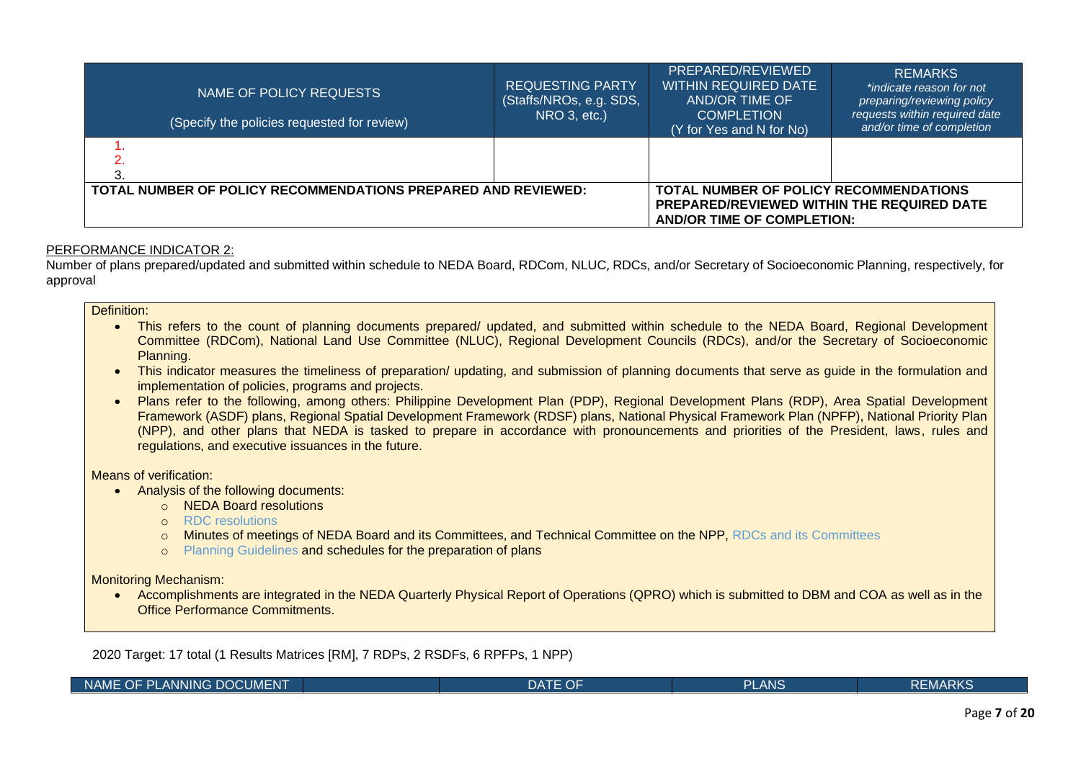| NAME OF POLICY REQUESTS<br>(Specify the policies requested for review) | <b>REQUESTING PARTY</b><br>(Staffs/NROs, e.g. SDS,<br>NRO 3, etc.)                                                               | PREPARED/REVIEWED<br><b>WITHIN REQUIRED DATE</b><br>AND/OR TIME OF<br><b>COMPLETION</b><br>(Y for Yes and N for No) | <b>REMARKS</b><br>*indicate reason for not<br>preparing/reviewing policy<br>requests within required date<br>and/or time of completion |
|------------------------------------------------------------------------|----------------------------------------------------------------------------------------------------------------------------------|---------------------------------------------------------------------------------------------------------------------|----------------------------------------------------------------------------------------------------------------------------------------|
|                                                                        |                                                                                                                                  |                                                                                                                     |                                                                                                                                        |
| TOTAL NUMBER OF POLICY RECOMMENDATIONS PREPARED AND REVIEWED:          | <b>TOTAL NUMBER OF POLICY RECOMMENDATIONS</b><br>PREPARED/REVIEWED WITHIN THE REQUIRED DATE<br><b>AND/OR TIME OF COMPLETION:</b> |                                                                                                                     |                                                                                                                                        |

Number of plans prepared/updated and submitted within schedule to NEDA Board, RDCom, NLUC, RDCs, and/or Secretary of Socioeconomic Planning, respectively, for approval

### Definition:

- This refers to the count of planning documents prepared/ updated, and submitted within schedule to the NEDA Board, Regional Development Committee (RDCom), National Land Use Committee (NLUC), Regional Development Councils (RDCs), and/or the Secretary of Socioeconomic Planning.
- This indicator measures the timeliness of preparation/ updating, and submission of planning documents that serve as guide in the formulation and implementation of policies, programs and projects.
- Plans refer to the following, among others: Philippine Development Plan (PDP), Regional Development Plans (RDP), Area Spatial Development Framework (ASDF) plans, Regional Spatial Development Framework (RDSF) plans, National Physical Framework Plan (NPFP), National Priority Plan (NPP), and other plans that NEDA is tasked to prepare in accordance with pronouncements and priorities of the President, laws, rules and regulations, and executive issuances in the future.

Means of verification:

- Analysis of the following documents:
	- o NEDA Board resolutions
	- o RDC resolutions
	- o Minutes of meetings of NEDA Board and its Committees, and Technical Committee on the NPP, RDCs and its Committees
	- o Planning Guidelines and schedules for the preparation of plans

Monitoring Mechanism:

• Accomplishments are integrated in the NEDA Quarterly Physical Report of Operations (QPRO) which is submitted to DBM and COA as well as in the Office Performance Commitments.

2020 Target: 17 total (1 Results Matrices [RM], 7 RDPs, 2 RSDFs, 6 RPFPs, 1 NPP)

|--|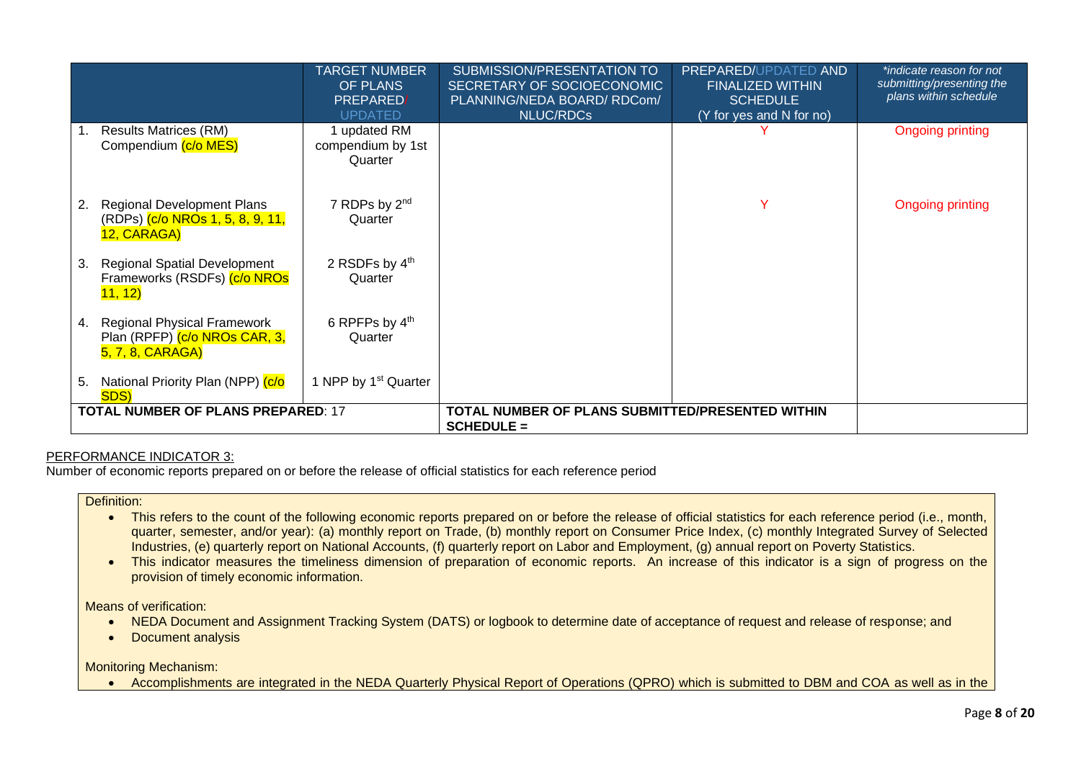|    |                                                                                         | <b>TARGET NUMBER</b><br>OF PLANS<br>PREPARED/<br><b>UPDATED</b> | SUBMISSION/PRESENTATION TO<br>SECRETARY OF SOCIOECONOMIC<br>PLANNING/NEDA BOARD/RDCom/<br><b>NLUC/RDCs</b> | PREPARED/UPDATED AND<br><b>FINALIZED WITHIN</b><br><b>SCHEDULE</b><br>(Y for yes and N for no) | *indicate reason for not<br>submitting/presenting the<br>plans within schedule |
|----|-----------------------------------------------------------------------------------------|-----------------------------------------------------------------|------------------------------------------------------------------------------------------------------------|------------------------------------------------------------------------------------------------|--------------------------------------------------------------------------------|
| 1. | <b>Results Matrices (RM)</b><br>Compendium (c/o MES)                                    | 1 updated RM<br>compendium by 1st<br>Quarter                    |                                                                                                            |                                                                                                | <b>Ongoing printing</b>                                                        |
| 2. | Regional Development Plans<br>(RDPs) (c/o NROs 1, 5, 8, 9, 11,<br>12, CARAGA)           | 7 RDPs by 2 <sup>nd</sup><br>Quarter                            |                                                                                                            | Y                                                                                              | <b>Ongoing printing</b>                                                        |
| 3. | <b>Regional Spatial Development</b><br>Frameworks (RSDFs) (c/o NROs<br>11, 12)          | 2 RSDFs by $4th$<br>Quarter                                     |                                                                                                            |                                                                                                |                                                                                |
| 4. | <b>Regional Physical Framework</b><br>Plan (RPFP) (c/o NROs CAR, 3,<br>5, 7, 8, CARAGA) | 6 RPFPs by 4th<br>Quarter                                       |                                                                                                            |                                                                                                |                                                                                |
| 5. | National Priority Plan (NPP) (c/o<br><b>SDS</b>                                         | 1 NPP by 1 <sup>st</sup> Quarter                                |                                                                                                            |                                                                                                |                                                                                |
|    | <b>TOTAL NUMBER OF PLANS PREPARED: 17</b>                                               |                                                                 | TOTAL NUMBER OF PLANS SUBMITTED/PRESENTED WITHIN<br>$SCHEDULE =$                                           |                                                                                                |                                                                                |

Number of economic reports prepared on or before the release of official statistics for each reference period

## Definition:

- This refers to the count of the following economic reports prepared on or before the release of official statistics for each reference period (i.e., month, quarter, semester, and/or year): (a) monthly report on Trade, (b) monthly report on Consumer Price Index, (c) monthly Integrated Survey of Selected Industries, (e) quarterly report on National Accounts, (f) quarterly report on Labor and Employment, (g) annual report on Poverty Statistics.
- This indicator measures the timeliness dimension of preparation of economic reports. An increase of this indicator is a sign of progress on the provision of timely economic information.

Means of verification:

- NEDA Document and Assignment Tracking System (DATS) or logbook to determine date of acceptance of request and release of response; and
- Document analysis

Monitoring Mechanism:

• Accomplishments are integrated in the NEDA Quarterly Physical Report of Operations (QPRO) which is submitted to DBM and COA as well as in the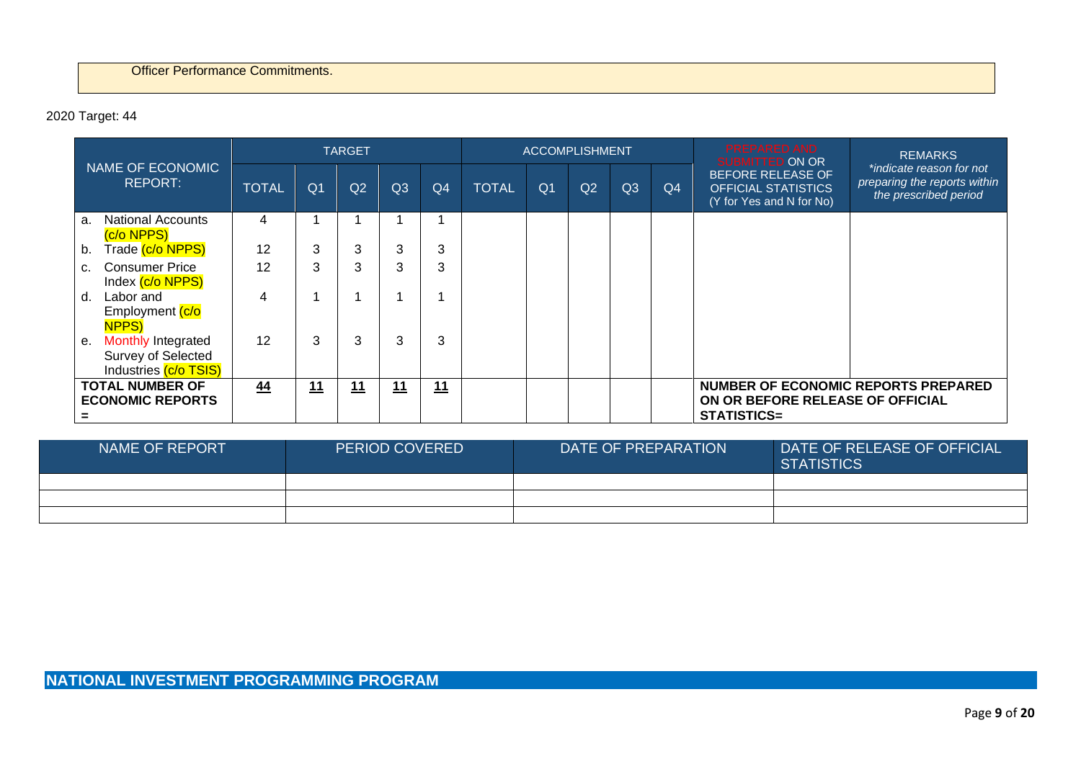# 2020 Target: 44

|                                                                                |                |                | <b>TARGET</b>  |    |                |              | <b>ACCOMPLISHMENT</b> |    |    |                | <b>PREPARED AND</b><br><b>SUBMITTED ON OR</b>                                                 | <b>REMARKS</b>                                                                    |
|--------------------------------------------------------------------------------|----------------|----------------|----------------|----|----------------|--------------|-----------------------|----|----|----------------|-----------------------------------------------------------------------------------------------|-----------------------------------------------------------------------------------|
| NAME OF ECONOMIC<br><b>REPORT:</b>                                             | <b>TOTAL</b>   | Q <sub>1</sub> | Q <sub>2</sub> | Q3 | Q <sub>4</sub> | <b>TOTAL</b> | Q <sub>1</sub>        | Q2 | Q3 | Q <sub>4</sub> | <b>BEFORE RELEASE OF</b><br><b>OFFICIAL STATISTICS</b><br>(Y for Yes and N for No)            | *indicate reason for not<br>preparing the reports within<br>the prescribed period |
| National Accounts<br>a.<br>(c/o NPPS)                                          | 4              |                |                |    |                |              |                       |    |    |                |                                                                                               |                                                                                   |
| Trade (c/o NPPS)<br>b.                                                         | 12             | 3              | 3              | 3  | 3              |              |                       |    |    |                |                                                                                               |                                                                                   |
| <b>Consumer Price</b><br>c.<br>Index (c/o NPPS)                                | 12             | 3              | 3              | 3  | 3              |              |                       |    |    |                |                                                                                               |                                                                                   |
| Labor and<br>d.<br>Employment (c/o<br>NPPS)                                    | $\overline{4}$ |                |                |    | 1              |              |                       |    |    |                |                                                                                               |                                                                                   |
| <b>Monthly Integrated</b><br>е.<br>Survey of Selected<br>Industries (c/o TSIS) | 12             | 3              | 3              | 3  | 3              |              |                       |    |    |                |                                                                                               |                                                                                   |
| <b>TOTAL NUMBER OF</b><br><b>ECONOMIC REPORTS</b>                              | 44             | <u>11</u>      | <u> 11</u>     | 11 | <u>11</u>      |              |                       |    |    |                | <b>NUMBER OF ECONOMIC REPORTS PREPARED</b><br>ON OR BEFORE RELEASE OF OFFICIAL<br>STATISTICS= |                                                                                   |

| NAME OF REPORT | <b>PERIOD COVERED</b> | DATE OF PREPARATION | DATE OF RELEASE OF OFFICIAL<br><b>STATISTICS</b> |
|----------------|-----------------------|---------------------|--------------------------------------------------|
|                |                       |                     |                                                  |
|                |                       |                     |                                                  |
|                |                       |                     |                                                  |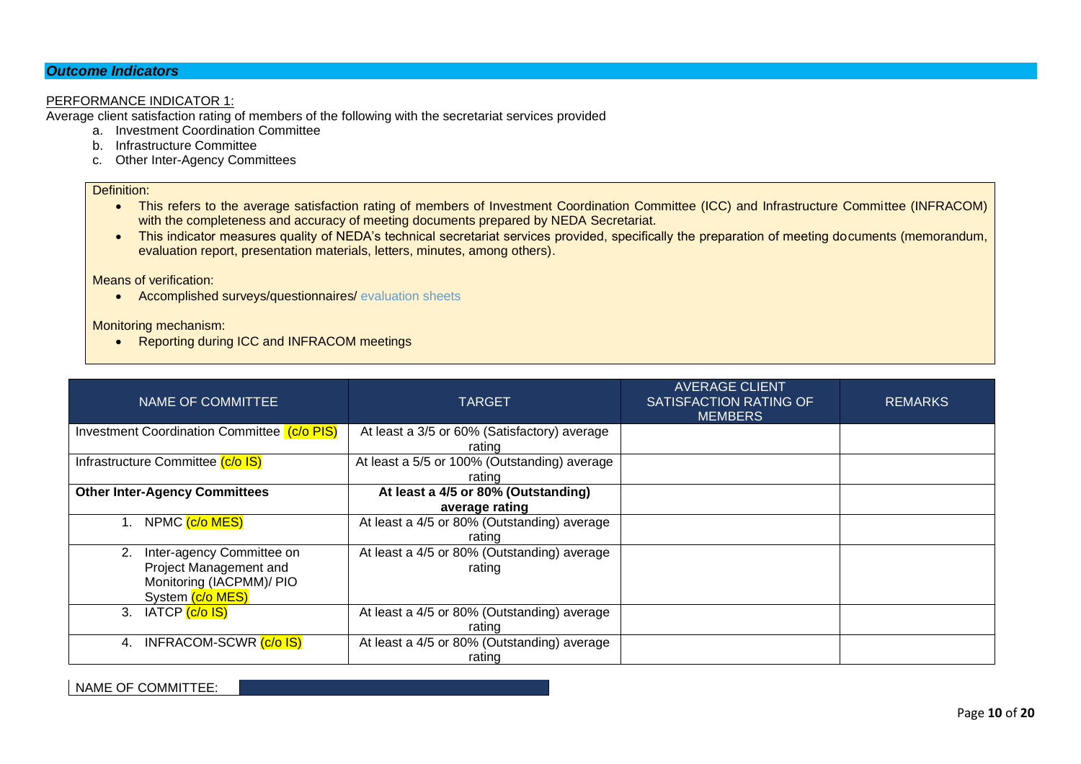# *Outcome Indicators*

### PERFORMANCE INDICATOR 1:

Average client satisfaction rating of members of the following with the secretariat services provided

- a. Investment Coordination Committee
- b. Infrastructure Committee
- c. Other Inter-Agency Committees

### Definition:

- This refers to the average satisfaction rating of members of Investment Coordination Committee (ICC) and Infrastructure Committee (INFRACOM) with the completeness and accuracy of meeting documents prepared by NEDA Secretariat.
- This indicator measures quality of NEDA's technical secretariat services provided, specifically the preparation of meeting documents (memorandum, evaluation report, presentation materials, letters, minutes, among others).

Means of verification:

• Accomplished surveys/questionnaires/ evaluation sheets

Monitoring mechanism:

• Reporting during ICC and INFRACOM meetings

| NAME OF COMMITTEE                                                                                         | <b>TARGET</b>                                          | <b>AVERAGE CLIENT</b><br>SATISFACTION RATING OF<br><b>MEMBERS</b> | <b>REMARKS</b> |
|-----------------------------------------------------------------------------------------------------------|--------------------------------------------------------|-------------------------------------------------------------------|----------------|
| Investment Coordination Committee (c/o PIS)                                                               | At least a 3/5 or 60% (Satisfactory) average<br>rating |                                                                   |                |
| Infrastructure Committee (c/o IS)                                                                         | At least a 5/5 or 100% (Outstanding) average<br>rating |                                                                   |                |
| <b>Other Inter-Agency Committees</b>                                                                      | At least a 4/5 or 80% (Outstanding)<br>average rating  |                                                                   |                |
| NPMC (c/o MES)                                                                                            | At least a 4/5 or 80% (Outstanding) average<br>rating  |                                                                   |                |
| Inter-agency Committee on<br>2.<br>Project Management and<br>Monitoring (IACPMM)/ PIO<br>System (c/o MES) | At least a 4/5 or 80% (Outstanding) average<br>rating  |                                                                   |                |
| IATCP <mark>(c/o IS)</mark><br>3.                                                                         | At least a 4/5 or 80% (Outstanding) average<br>rating  |                                                                   |                |
| INFRACOM-SCWR (c/o IS)<br>4.                                                                              | At least a 4/5 or 80% (Outstanding) average<br>rating  |                                                                   |                |

NAME OF COMMITTEE: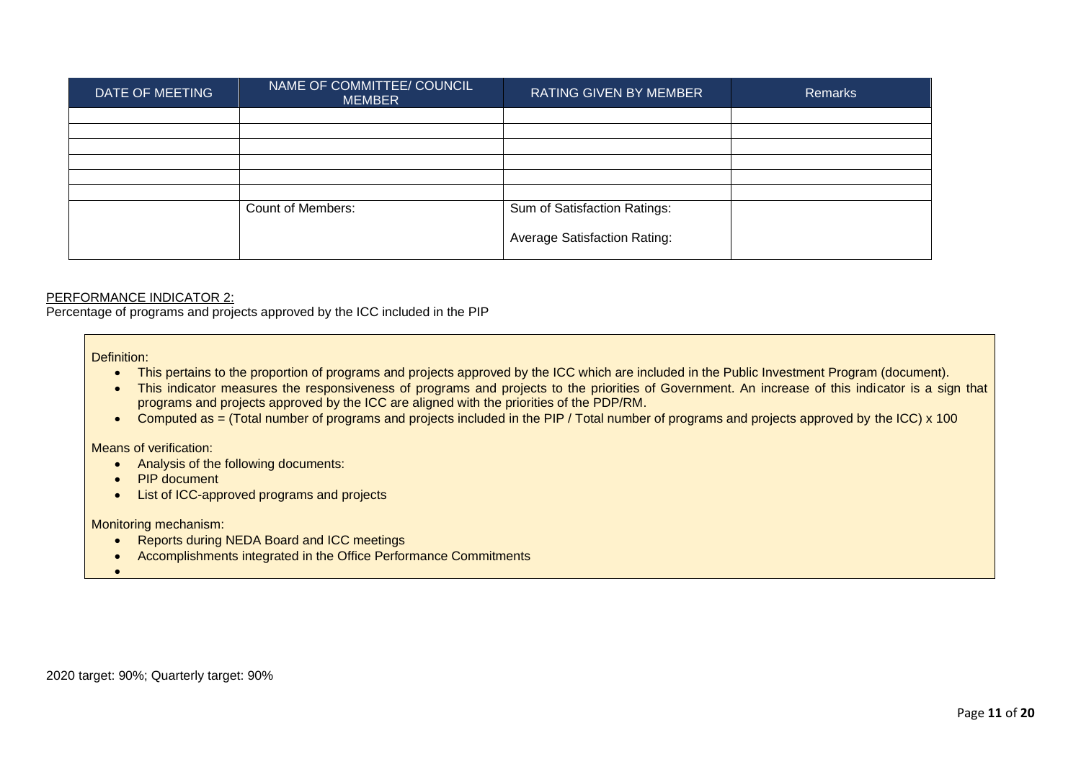| DATE OF MEETING | NAME OF COMMITTEE/ COUNCIL<br><b>MEMBER</b> | RATING GIVEN BY MEMBER              | <b>Remarks</b> |
|-----------------|---------------------------------------------|-------------------------------------|----------------|
|                 |                                             |                                     |                |
|                 |                                             |                                     |                |
|                 |                                             |                                     |                |
|                 |                                             |                                     |                |
|                 |                                             |                                     |                |
|                 |                                             |                                     |                |
|                 | <b>Count of Members:</b>                    | Sum of Satisfaction Ratings:        |                |
|                 |                                             | <b>Average Satisfaction Rating:</b> |                |

Percentage of programs and projects approved by the ICC included in the PIP

Definition:

- This pertains to the proportion of programs and projects approved by the ICC which are included in the Public Investment Program (document).
- This indicator measures the responsiveness of programs and projects to the priorities of Government. An increase of this indicator is a sign that programs and projects approved by the ICC are aligned with the priorities of the PDP/RM.
- Computed as = (Total number of programs and projects included in the PIP / Total number of programs and projects approved by the ICC) x 100

Means of verification:

- Analysis of the following documents:
- PIP document
- List of ICC-approved programs and projects

Monitoring mechanism:

- Reports during NEDA Board and ICC meetings
- Accomplishments integrated in the Office Performance Commitments

•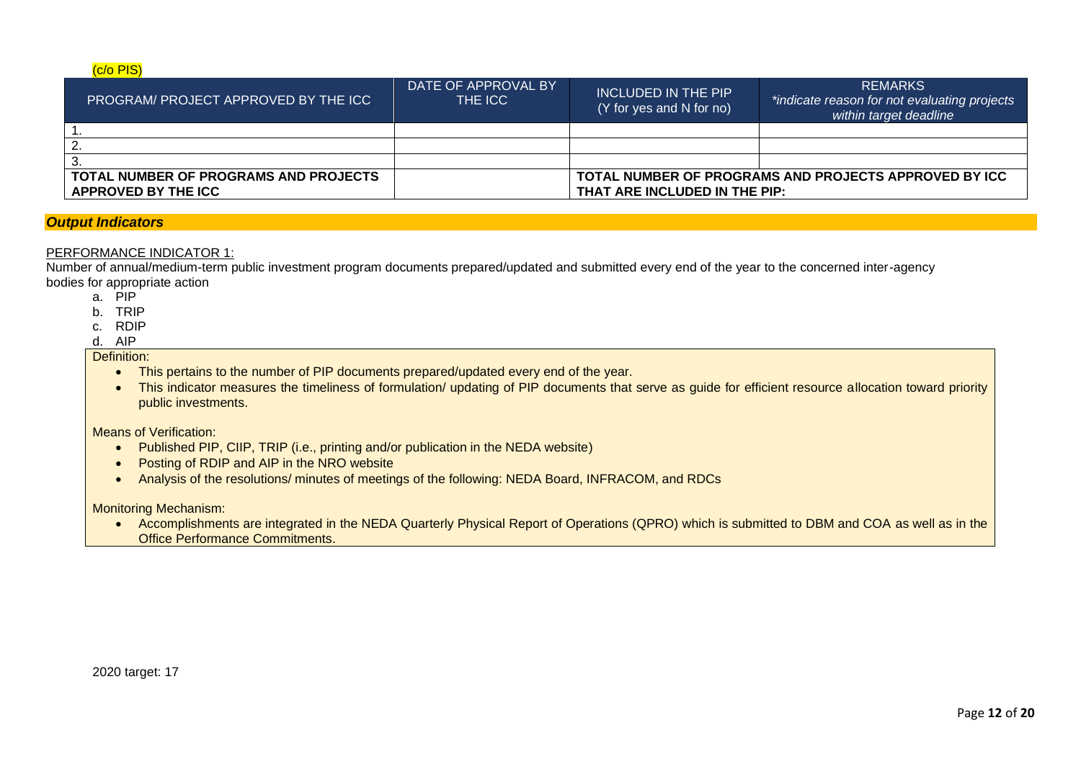### (c/o PIS)

| <b>PROGRAM PROJECT APPROVED BY THE ICC</b> | DATE OF APPROVAL BY<br>THE ICC | INCLUDED IN THE PIP<br>(Y for yes and N for no) | <b>REMARKS</b><br>*indicate reason for not evaluating projects<br>within target deadline |  |
|--------------------------------------------|--------------------------------|-------------------------------------------------|------------------------------------------------------------------------------------------|--|
|                                            |                                |                                                 |                                                                                          |  |
|                                            |                                |                                                 |                                                                                          |  |
|                                            |                                |                                                 |                                                                                          |  |
| TOTAL NUMBER OF PROGRAMS AND PROJECTS      |                                |                                                 | TOTAL NUMBER OF PROGRAMS AND PROJECTS APPROVED BY ICC                                    |  |
| APPROVED BY THE ICC                        |                                | THAT ARE INCLUDED IN THE PIP:                   |                                                                                          |  |

# *Output Indicators*

### PERFORMANCE INDICATOR 1:

Number of annual/medium-term public investment program documents prepared/updated and submitted every end of the year to the concerned inter-agency bodies for appropriate action

- a. PIP
- b. TRIP
- c. RDIP
- d. AIP

# Definition:

- This pertains to the number of PIP documents prepared/updated every end of the year.
- This indicator measures the timeliness of formulation/ updating of PIP documents that serve as guide for efficient resource allocation toward priority public investments.

#### Means of Verification:

- Published PIP, CIIP, TRIP (i.e., printing and/or publication in the NEDA website)
- Posting of RDIP and AIP in the NRO website
- Analysis of the resolutions/ minutes of meetings of the following: NEDA Board, INFRACOM, and RDCs

Monitoring Mechanism:

• Accomplishments are integrated in the NEDA Quarterly Physical Report of Operations (QPRO) which is submitted to DBM and COA as well as in the Office Performance Commitments.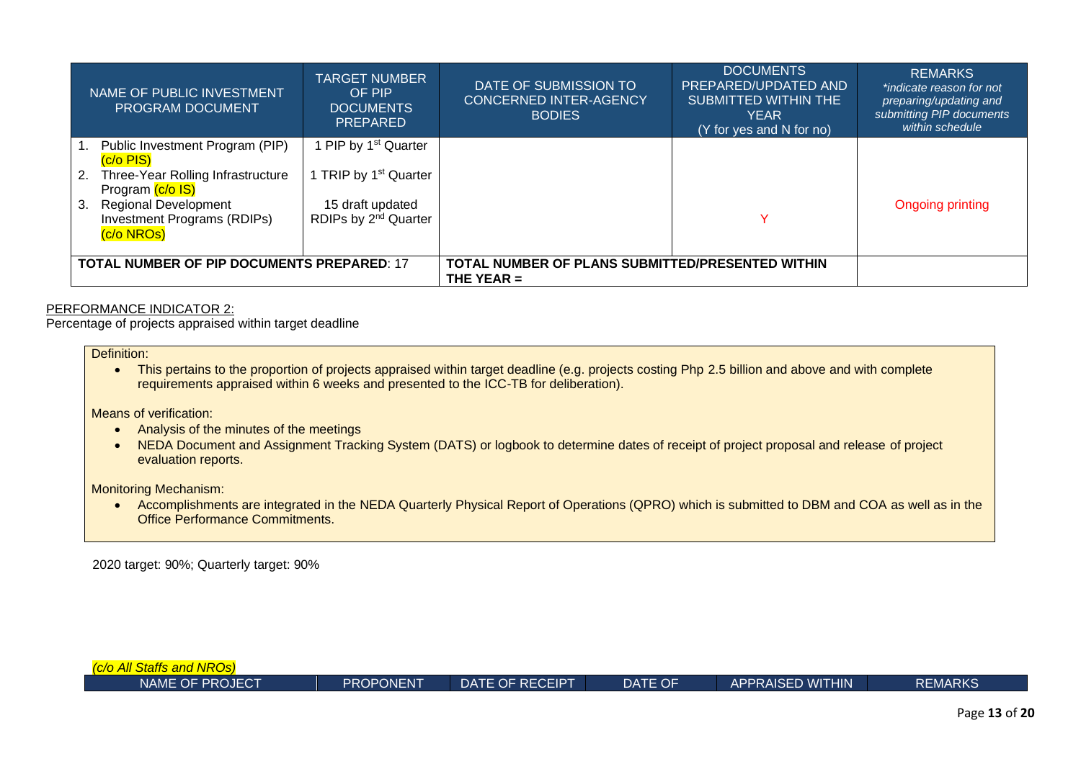|    | NAME OF PUBLIC INVESTMENT<br><b>PROGRAM DOCUMENT</b>                            | TARGET NUMBER<br>OF PIP<br><b>DOCUMENTS</b><br><b>PREPARED</b> | DATE OF SUBMISSION TO<br><b>CONCERNED INTER-AGENCY</b><br><b>BODIES</b> | DOCUMENTS<br>PREPARED/UPDATED AND<br><b>SUBMITTED WITHIN THE</b><br><b>YEAR</b><br>(Y for yes and N for no) | <b>REMARKS</b><br>*indicate reason for not<br>preparing/updating and<br>submitting PIP documents<br>within schedule |
|----|---------------------------------------------------------------------------------|----------------------------------------------------------------|-------------------------------------------------------------------------|-------------------------------------------------------------------------------------------------------------|---------------------------------------------------------------------------------------------------------------------|
|    | Public Investment Program (PIP)<br>$(c/o$ PIS $)$                               | PIP by 1 <sup>st</sup> Quarter                                 |                                                                         |                                                                                                             |                                                                                                                     |
| 2. | Three-Year Rolling Infrastructure<br>Program (c/o IS)                           | I TRIP by 1 <sup>st</sup> Quarter                              |                                                                         |                                                                                                             |                                                                                                                     |
| 3. | <b>Regional Development</b><br><b>Investment Programs (RDIPs)</b><br>(c/o NROs) | 15 draft updated<br>RDIPs by 2 <sup>nd</sup> Quarter           |                                                                         | ∨                                                                                                           | <b>Ongoing printing</b>                                                                                             |
|    | <b>TOTAL NUMBER OF PIP DOCUMENTS PREPARED: 17</b>                               |                                                                | TOTAL NUMBER OF PLANS SUBMITTED/PRESENTED WITHIN<br>THE YEAR $=$        |                                                                                                             |                                                                                                                     |

Percentage of projects appraised within target deadline

Definition:

• This pertains to the proportion of projects appraised within target deadline (e.g. projects costing Php 2.5 billion and above and with complete requirements appraised within 6 weeks and presented to the ICC-TB for deliberation).

Means of verification:

- Analysis of the minutes of the meetings
- NEDA Document and Assignment Tracking System (DATS) or logbook to determine dates of receipt of project proposal and release of project evaluation reports.

Monitoring Mechanism:

• Accomplishments are integrated in the NEDA Quarterly Physical Report of Operations (QPRO) which is submitted to DBM and COA as well as in the Office Performance Commitments.

2020 target: 90%; Quarterly target: 90%

| (c/o All Staffs and NROs) |           |                 |         |                         |                |
|---------------------------|-----------|-----------------|---------|-------------------------|----------------|
| NAME OF PROJECT           | PROPONENT | DATE OF RECEIPT | DATE OF | <b>APPRAISED WITHIN</b> | <b>REMARKS</b> |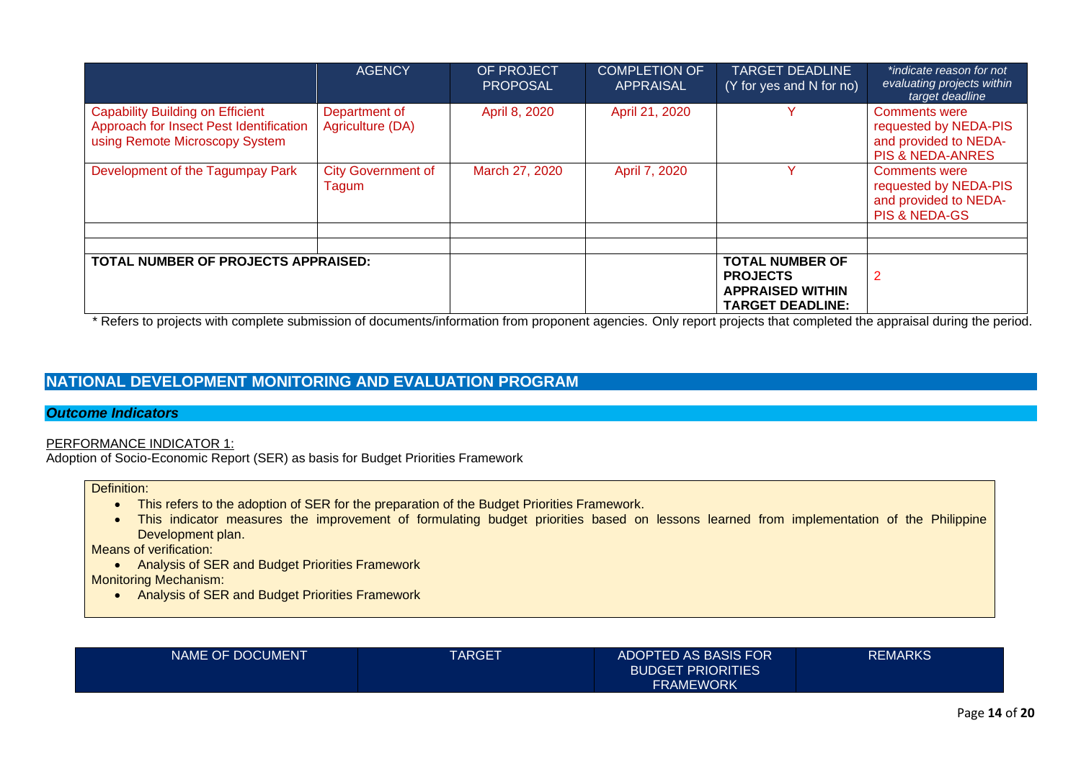|                                                                                                                      | <b>AGENCY</b>                      | OF PROJECT<br><b>PROPOSAL</b> | <b>COMPLETION OF</b><br><b>APPRAISAL</b> | <b>TARGET DEADLINE</b><br>(Y for yes and N for no)                                              | *indicate reason for not<br>evaluating projects within<br>target deadline                             |
|----------------------------------------------------------------------------------------------------------------------|------------------------------------|-------------------------------|------------------------------------------|-------------------------------------------------------------------------------------------------|-------------------------------------------------------------------------------------------------------|
| <b>Capability Building on Efficient</b><br>Approach for Insect Pest Identification<br>using Remote Microscopy System | Department of<br>Agriculture (DA)  | April 8, 2020                 | April 21, 2020                           | v                                                                                               | <b>Comments were</b><br>requested by NEDA-PIS<br>and provided to NEDA-<br><b>PIS &amp; NEDA-ANRES</b> |
| Development of the Tagumpay Park                                                                                     | <b>City Government of</b><br>Tagum | March 27, 2020                | April 7, 2020                            |                                                                                                 | <b>Comments were</b><br>requested by NEDA-PIS<br>and provided to NEDA-<br><b>PIS &amp; NEDA-GS</b>    |
|                                                                                                                      |                                    |                               |                                          |                                                                                                 |                                                                                                       |
|                                                                                                                      |                                    |                               |                                          |                                                                                                 |                                                                                                       |
| TOTAL NUMBER OF PROJECTS APPRAISED:                                                                                  | .                                  |                               |                                          | <b>TOTAL NUMBER OF</b><br><b>PROJECTS</b><br><b>APPRAISED WITHIN</b><br><b>TARGET DEADLINE:</b> | 2<br>.                                                                                                |

\* Refers to projects with complete submission of documents/information from proponent agencies. Only report projects that completed the appraisal during the period.

# **NATIONAL DEVELOPMENT MONITORING AND EVALUATION PROGRAM**

# *Outcome Indicators*

### PERFORMANCE INDICATOR 1:

Adoption of Socio-Economic Report (SER) as basis for Budget Priorities Framework

Definition:

- This refers to the adoption of SER for the preparation of the Budget Priorities Framework.
- This indicator measures the improvement of formulating budget priorities based on lessons learned from implementation of the Philippine Development plan.

Means of verification:

• Analysis of SER and Budget Priorities Framework

Monitoring Mechanism:

• Analysis of SER and Budget Priorities Framework

| <b>NAME OF DOCUMENT</b> | TARGET | ADOPTED AS BASIS FOR     | <b>REMARKS</b> |
|-------------------------|--------|--------------------------|----------------|
|                         |        | <b>BUDGET PRIORITIES</b> |                |
|                         |        | <b>FRAMEWORK</b>         |                |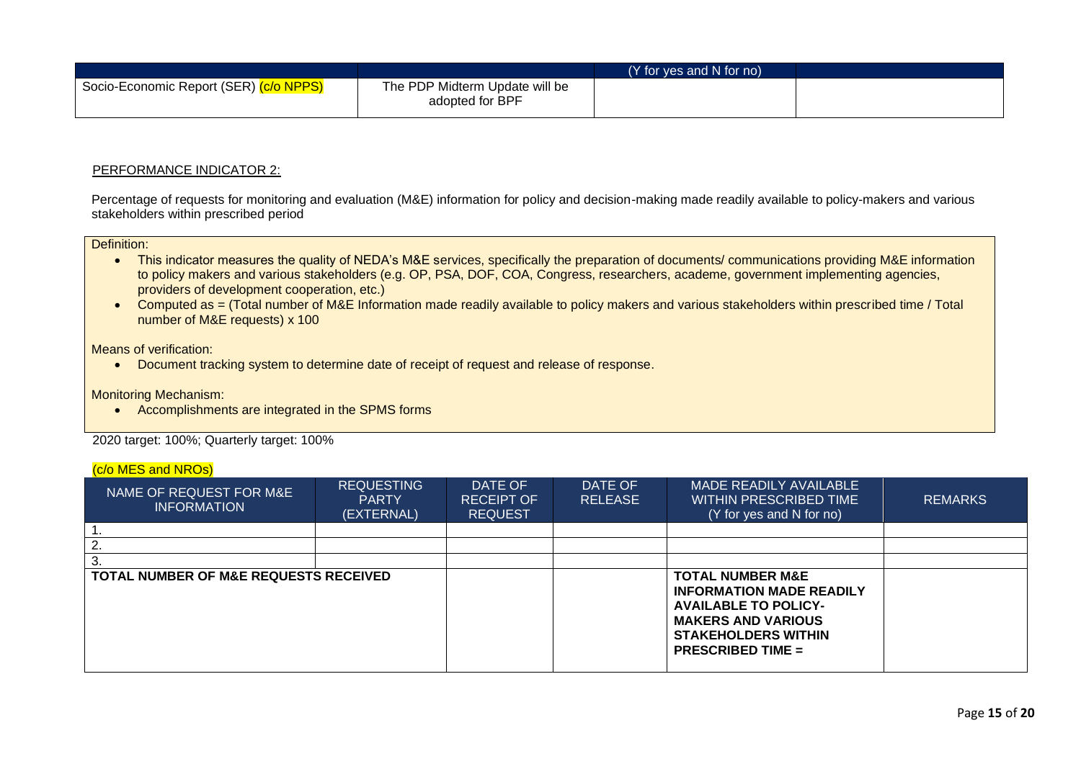|                                        |                                                   | (Y for yes and N for no) |  |
|----------------------------------------|---------------------------------------------------|--------------------------|--|
| Socio-Economic Report (SER) (c/o NPPS) | The PDP Midterm Update will be<br>adopted for BPF |                          |  |

Percentage of requests for monitoring and evaluation (M&E) information for policy and decision-making made readily available to policy-makers and various stakeholders within prescribed period

### Definition:

- This indicator measures the quality of NEDA's M&E services, specifically the preparation of documents/ communications providing M&E information to policy makers and various stakeholders (e.g. OP, PSA, DOF, COA, Congress, researchers, academe, government implementing agencies, providers of development cooperation, etc.)
- Computed as = (Total number of M&E Information made readily available to policy makers and various stakeholders within prescribed time / Total number of M&E requests) x 100

### Means of verification:

• Document tracking system to determine date of receipt of request and release of response.

Monitoring Mechanism:

• Accomplishments are integrated in the SPMS forms

2020 target: 100%; Quarterly target: 100%

### (c/o MES and NROs)

| NAME OF REQUEST FOR M&E<br><b>INFORMATION</b> | <b>REQUESTING</b><br><b>PARTY</b><br>(EXTERNAL) | DATE OF<br><b>RECEIPT OF</b><br><b>REQUEST</b> | DATE OF<br><b>RELEASE</b> | MADE READILY AVAILABLE<br>WITHIN PRESCRIBED TIME<br>(Y for yes and N for no)                                                                                                         | <b>REMARKS</b> |
|-----------------------------------------------|-------------------------------------------------|------------------------------------------------|---------------------------|--------------------------------------------------------------------------------------------------------------------------------------------------------------------------------------|----------------|
|                                               |                                                 |                                                |                           |                                                                                                                                                                                      |                |
|                                               |                                                 |                                                |                           |                                                                                                                                                                                      |                |
| З.                                            |                                                 |                                                |                           |                                                                                                                                                                                      |                |
| TOTAL NUMBER OF M&E REQUESTS RECEIVED         |                                                 |                                                |                           | <b>TOTAL NUMBER M&amp;E</b><br><b>INFORMATION MADE READILY</b><br><b>AVAILABLE TO POLICY-</b><br><b>MAKERS AND VARIOUS</b><br><b>STAKEHOLDERS WITHIN</b><br><b>PRESCRIBED TIME =</b> |                |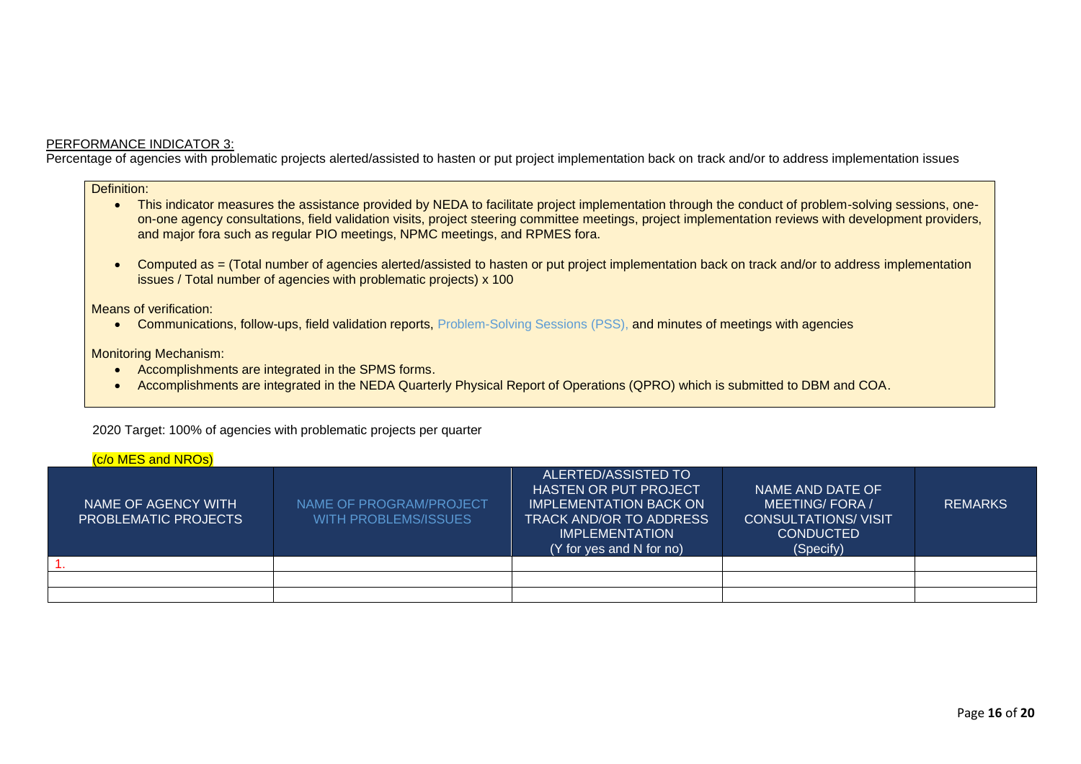Percentage of agencies with problematic projects alerted/assisted to hasten or put project implementation back on track and/or to address implementation issues

Definition:

- This indicator measures the assistance provided by NEDA to facilitate project implementation through the conduct of problem-solving sessions, oneon-one agency consultations, field validation visits, project steering committee meetings, project implementation reviews with development providers, and major fora such as regular PIO meetings, NPMC meetings, and RPMES fora.
- Computed as = (Total number of agencies alerted/assisted to hasten or put project implementation back on track and/or to address implementation issues / Total number of agencies with problematic projects) x 100

Means of verification:

• Communications, follow-ups, field validation reports, Problem-Solving Sessions (PSS), and minutes of meetings with agencies

Monitoring Mechanism:

- Accomplishments are integrated in the SPMS forms.
- Accomplishments are integrated in the NEDA Quarterly Physical Report of Operations (QPRO) which is submitted to DBM and COA.

2020 Target: 100% of agencies with problematic projects per quarter

## $(c/\rho$  MES and NROs)

| <u>, .,</u>                                 |                                                        |                                                                                                                                                                              |                                                                                                   |                |
|---------------------------------------------|--------------------------------------------------------|------------------------------------------------------------------------------------------------------------------------------------------------------------------------------|---------------------------------------------------------------------------------------------------|----------------|
| NAME OF AGENCY WITH<br>PROBLEMATIC PROJECTS | NAME OF PROGRAM/PROJECT<br><b>WITH PROBLEMS/ISSUES</b> | ALERTED/ASSISTED TO<br><b>HASTEN OR PUT PROJECT</b><br><b>IMPLEMENTATION BACK ON</b><br><b>TRACK AND/OR TO ADDRESS!</b><br><b>IMPLEMENTATION</b><br>(Y for yes and N for no) | NAME AND DATE OF<br>MEETING/FORA/<br><b>CONSULTATIONS/ VISIT</b><br><b>CONDUCTED</b><br>(Specify) | <b>REMARKS</b> |
|                                             |                                                        |                                                                                                                                                                              |                                                                                                   |                |
|                                             |                                                        |                                                                                                                                                                              |                                                                                                   |                |
|                                             |                                                        |                                                                                                                                                                              |                                                                                                   |                |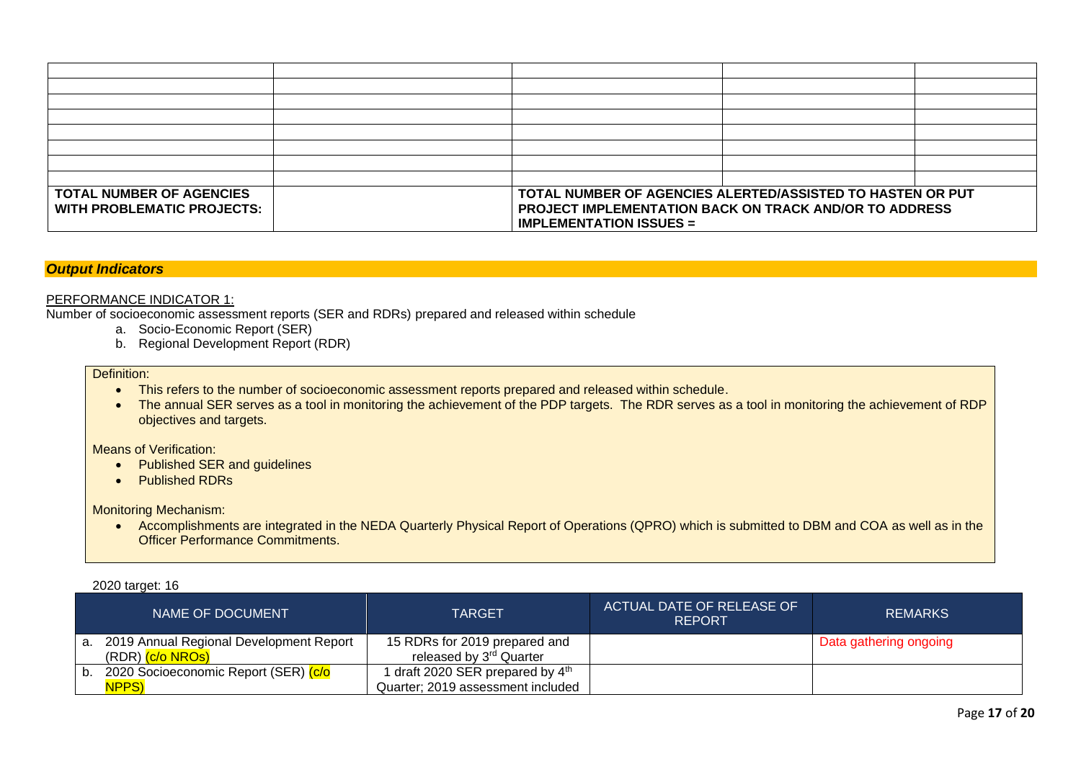| <b>TOTAL NUMBER OF AGENCIES</b> | TOTAL NUMBER OF AGENCIES ALERTED/ASSISTED TO HASTEN OR PUT    |  |  |  |
|---------------------------------|---------------------------------------------------------------|--|--|--|
| WITH PROBLEMATIC PROJECTS:      | <b>PROJECT IMPLEMENTATION BACK ON TRACK AND/OR TO ADDRESS</b> |  |  |  |
|                                 | <b>IMPLEMENTATION ISSUES =</b>                                |  |  |  |

# *Output Indicators*

### PERFORMANCE INDICATOR 1:

Number of socioeconomic assessment reports (SER and RDRs) prepared and released within schedule

- a. Socio-Economic Report (SER)
- b. Regional Development Report (RDR)

### Definition:

- This refers to the number of socioeconomic assessment reports prepared and released within schedule.
- The annual SER serves as a tool in monitoring the achievement of the PDP targets. The RDR serves as a tool in monitoring the achievement of RDP objectives and targets.

Means of Verification:

- Published SER and guidelines
- Published RDRs

Monitoring Mechanism:

• Accomplishments are integrated in the NEDA Quarterly Physical Report of Operations (QPRO) which is submitted to DBM and COA as well as in the Officer Performance Commitments.

2020 target: 16

| NAME OF DOCUMENT                                                            | <b>TARGET</b>                                                        | ACTUAL DATE OF RELEASE OF<br><b>REPORT</b> | <b>REMARKS</b>         |
|-----------------------------------------------------------------------------|----------------------------------------------------------------------|--------------------------------------------|------------------------|
| a. 2019 Annual Regional Development Report<br>(RDR) <mark>(c/o NROs)</mark> | 15 RDRs for 2019 prepared and<br>released by 3 <sup>rd</sup> Quarter |                                            | Data gathering ongoing |
| b. 2020 Socioeconomic Report (SER) (c/o                                     | I draft 2020 SER prepared by $4^{\text{th}}$                         |                                            |                        |
| <b>NPPS)</b>                                                                | Quarter; 2019 assessment included                                    |                                            |                        |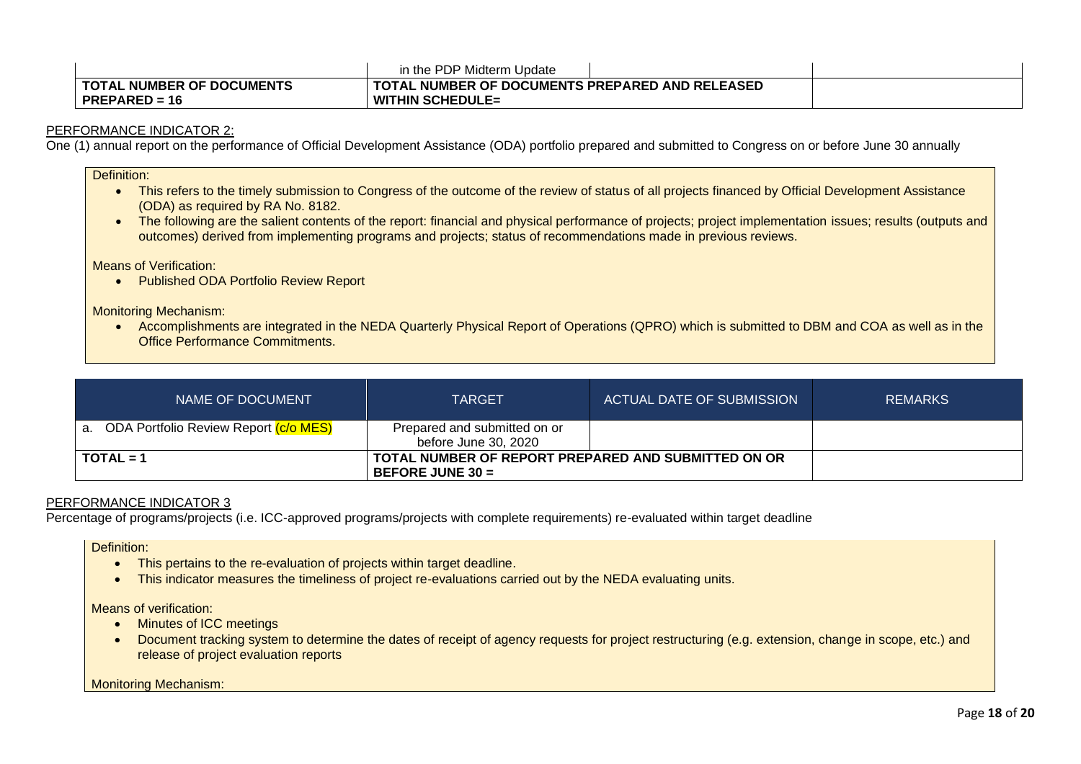|                                  | in the PDP Midterm Update                       |  |
|----------------------------------|-------------------------------------------------|--|
| <b>TOTAL NUMBER OF DOCUMENTS</b> | TOTAL NUMBER OF DOCUMENTS PREPARED AND RELEASED |  |
| $PREPARENED = 16$                | <b>WITHIN SCHEDULE=</b>                         |  |

One (1) annual report on the performance of Official Development Assistance (ODA) portfolio prepared and submitted to Congress on or before June 30 annually

Definition:

- This refers to the timely submission to Congress of the outcome of the review of status of all projects financed by Official Development Assistance (ODA) as required by RA No. 8182.
- The following are the salient contents of the report: financial and physical performance of projects; project implementation issues; results (outputs and outcomes) derived from implementing programs and projects; status of recommendations made in previous reviews.

Means of Verification:

• Published ODA Portfolio Review Report

Monitoring Mechanism:

• Accomplishments are integrated in the NEDA Quarterly Physical Report of Operations (QPRO) which is submitted to DBM and COA as well as in the Office Performance Commitments.

| NAME OF DOCUMENT                         | <b>TARGET</b>                                                             | ACTUAL DATE OF SUBMISSION | <b>REMARKS</b> |
|------------------------------------------|---------------------------------------------------------------------------|---------------------------|----------------|
| a. ODA Portfolio Review Report (c/o MES) | Prepared and submitted on or<br>before June 30, 2020                      |                           |                |
| $TOTAL = 1$                              | TOTAL NUMBER OF REPORT PREPARED AND SUBMITTED ON OR<br>BEFORE JUNE $30 =$ |                           |                |

## PERFORMANCE INDICATOR 3

Percentage of programs/projects (i.e. ICC-approved programs/projects with complete requirements) re-evaluated within target deadline

Definition:

- This pertains to the re-evaluation of projects within target deadline.
- This indicator measures the timeliness of project re-evaluations carried out by the NEDA evaluating units.

Means of verification:

- Minutes of ICC meetings
- Document tracking system to determine the dates of receipt of agency requests for project restructuring (e.g. extension, change in scope, etc.) and release of project evaluation reports

Monitoring Mechanism: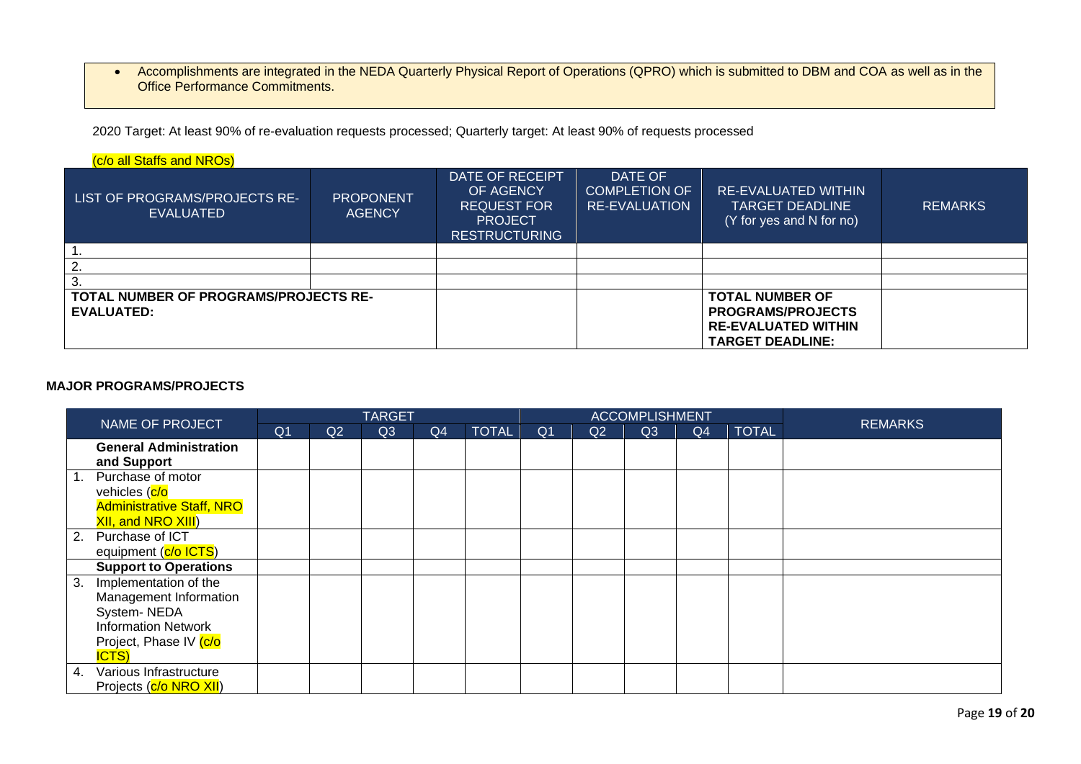• Accomplishments are integrated in the NEDA Quarterly Physical Report of Operations (QPRO) which is submitted to DBM and COA as well as in the Office Performance Commitments.

2020 Target: At least 90% of re-evaluation requests processed; Quarterly target: At least 90% of requests processed

| (c/o all Staffs and NROs)                                         |                                   |                                                                                              |                                                                                                             |                                                                                  |                |
|-------------------------------------------------------------------|-----------------------------------|----------------------------------------------------------------------------------------------|-------------------------------------------------------------------------------------------------------------|----------------------------------------------------------------------------------|----------------|
| LIST OF PROGRAMS/PROJECTS RE-<br><b>EVALUATED</b>                 | <b>PROPONENT</b><br><b>AGENCY</b> | DATE OF RECEIPT<br>OF AGENCY<br><b>REQUEST FOR</b><br><b>PROJECT</b><br><b>RESTRUCTURING</b> | DATE OF<br><b>COMPLETION OF</b><br><b>RE-EVALUATION</b>                                                     | <b>RE-EVALUATED WITHIN</b><br><b>TARGET DEADLINE</b><br>(Y for yes and N for no) | <b>REMARKS</b> |
|                                                                   |                                   |                                                                                              |                                                                                                             |                                                                                  |                |
|                                                                   |                                   |                                                                                              |                                                                                                             |                                                                                  |                |
|                                                                   |                                   |                                                                                              |                                                                                                             |                                                                                  |                |
| <b>TOTAL NUMBER OF PROGRAMS/PROJECTS RE-</b><br><b>EVALUATED:</b> |                                   |                                                                                              | <b>TOTAL NUMBER OF</b><br><b>PROGRAMS/PROJECTS</b><br><b>RE-EVALUATED WITHIN</b><br><b>TARGET DEADLINE:</b> |                                                                                  |                |

# **MAJOR PROGRAMS/PROJECTS**

| NAME OF PROJECT | <b>TARGET</b>                    |                |    |    |    | <b>ACCOMPLISHMENT</b> |                |    |                |                |              |                |
|-----------------|----------------------------------|----------------|----|----|----|-----------------------|----------------|----|----------------|----------------|--------------|----------------|
|                 |                                  | Q <sub>1</sub> | Q2 | Q3 | Q4 | <b>TOTAL</b>          | Q <sub>1</sub> | Q2 | Q <sub>3</sub> | Q <sub>4</sub> | <b>TOTAL</b> | <b>REMARKS</b> |
|                 | <b>General Administration</b>    |                |    |    |    |                       |                |    |                |                |              |                |
|                 | and Support                      |                |    |    |    |                       |                |    |                |                |              |                |
|                 | Purchase of motor                |                |    |    |    |                       |                |    |                |                |              |                |
|                 | vehicles (c/o                    |                |    |    |    |                       |                |    |                |                |              |                |
|                 | <b>Administrative Staff, NRO</b> |                |    |    |    |                       |                |    |                |                |              |                |
|                 | <b>XII, and NRO XIII</b> )       |                |    |    |    |                       |                |    |                |                |              |                |
| 2.              | Purchase of ICT                  |                |    |    |    |                       |                |    |                |                |              |                |
|                 | equipment (c/o ICTS)             |                |    |    |    |                       |                |    |                |                |              |                |
|                 | <b>Support to Operations</b>     |                |    |    |    |                       |                |    |                |                |              |                |
| 3.              | Implementation of the            |                |    |    |    |                       |                |    |                |                |              |                |
|                 | Management Information           |                |    |    |    |                       |                |    |                |                |              |                |
|                 | System-NEDA                      |                |    |    |    |                       |                |    |                |                |              |                |
|                 | <b>Information Network</b>       |                |    |    |    |                       |                |    |                |                |              |                |
|                 | Project, Phase IV (c/o           |                |    |    |    |                       |                |    |                |                |              |                |
|                 | <b>ICTS</b> )                    |                |    |    |    |                       |                |    |                |                |              |                |
| 4.              | Various Infrastructure           |                |    |    |    |                       |                |    |                |                |              |                |
|                 | Projects (c/o NRO XII)           |                |    |    |    |                       |                |    |                |                |              |                |